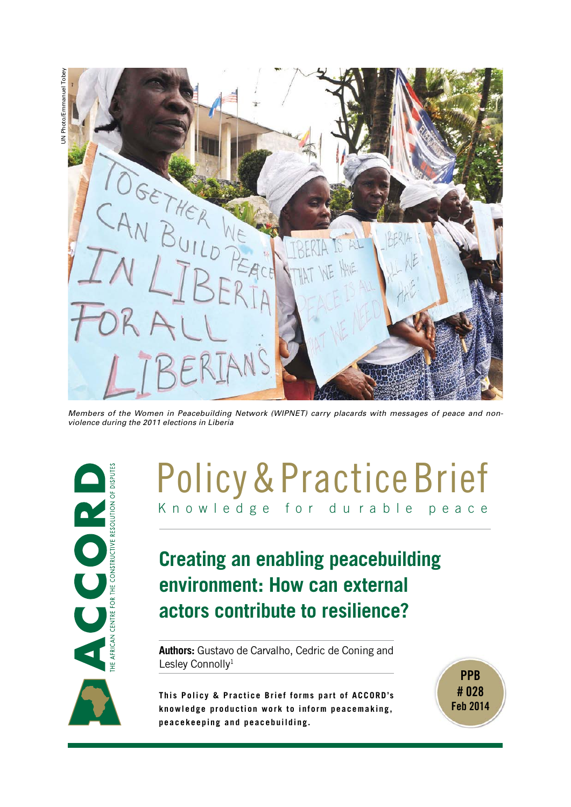

*Members of the Women in Peacebuilding Network (WIPNET) carry placards with messages of peace and nonviolence during the 2011 elections in Liberia*



# K n o w l e d g e f o r d u r a b l e p e a c e Policy & Practice Brief

# **Creating an enabling peacebuilding environment: How can external actors contribute to resilience?**

**Authors:** Gustavo de Carvalho, Cedric de Coning and Lesley Connolly<sup>1</sup>

**This Policy & Practice Brief forms part of ACCORD's knowledge production work to inform peacemaking, peacekeeping and peacebuilding.**



UN Photo/Emmanuel Tobey JN Photo/Emmanuel Tobey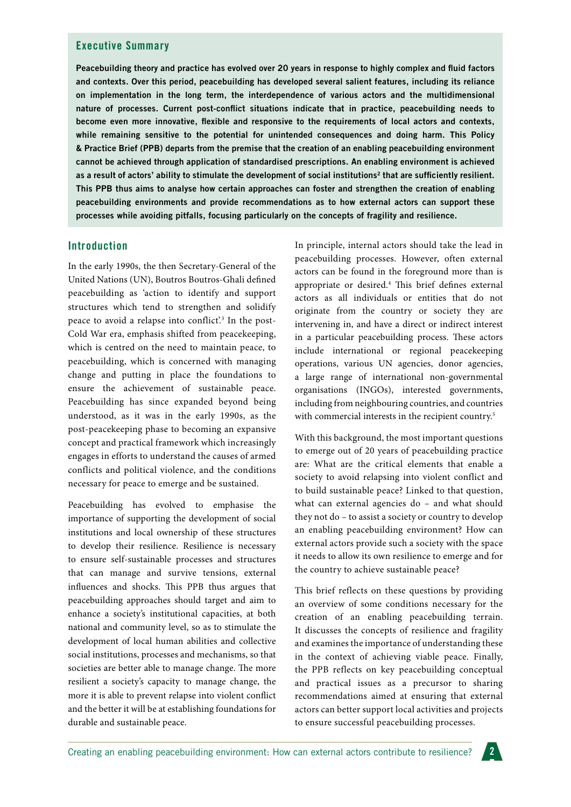#### **Executive Summary**

**Peacebuilding theory and practice has evolved over 20 years in response to highly complex and fluid factors and contexts. Over this period, peacebuilding has developed several salient features, including its reliance on implementation in the long term, the interdependence of various actors and the multidimensional nature of processes. Current post-conflict situations indicate that in practice, peacebuilding needs to become even more innovative, flexible and responsive to the requirements of local actors and contexts, while remaining sensitive to the potential for unintended consequences and doing harm. This Policy & Practice Brief (PPB) departs from the premise that the creation of an enabling peacebuilding environment cannot be achieved through application of standardised prescriptions. An enabling environment is achieved**  as a result of actors' ability to stimulate the development of social institutions<sup>2</sup> that are sufficiently resilient. **This PPB thus aims to analyse how certain approaches can foster and strengthen the creation of enabling peacebuilding environments and provide recommendations as to how external actors can support these processes while avoiding pitfalls, focusing particularly on the concepts of fragility and resilience.**

#### **Introduction**

In the early 1990s, the then Secretary-General of the United Nations (UN), Boutros Boutros-Ghali defined peacebuilding as 'action to identify and support structures which tend to strengthen and solidify peace to avoid a relapse into conflict'.<sup>3</sup> In the post-Cold War era, emphasis shifted from peacekeeping, which is centred on the need to maintain peace, to peacebuilding, which is concerned with managing change and putting in place the foundations to ensure the achievement of sustainable peace. Peacebuilding has since expanded beyond being understood, as it was in the early 1990s, as the post-peacekeeping phase to becoming an expansive concept and practical framework which increasingly engages in efforts to understand the causes of armed conflicts and political violence, and the conditions necessary for peace to emerge and be sustained.

Peacebuilding has evolved to emphasise the importance of supporting the development of social institutions and local ownership of these structures to develop their resilience. Resilience is necessary to ensure self-sustainable processes and structures that can manage and survive tensions, external influences and shocks. This PPB thus argues that peacebuilding approaches should target and aim to enhance a society's institutional capacities, at both national and community level, so as to stimulate the development of local human abilities and collective social institutions, processes and mechanisms, so that societies are better able to manage change. The more resilient a society's capacity to manage change, the more it is able to prevent relapse into violent conflict and the better it will be at establishing foundations for durable and sustainable peace.

In principle, internal actors should take the lead in peacebuilding processes. However, often external actors can be found in the foreground more than is appropriate or desired.4 This brief defines external actors as all individuals or entities that do not originate from the country or society they are intervening in, and have a direct or indirect interest in a particular peacebuilding process. These actors include international or regional peacekeeping operations, various UN agencies, donor agencies, a large range of international non-governmental organisations (INGOs), interested governments, including from neighbouring countries, and countries with commercial interests in the recipient country.<sup>5</sup>

With this background, the most important questions to emerge out of 20 years of peacebuilding practice are: What are the critical elements that enable a society to avoid relapsing into violent conflict and to build sustainable peace? Linked to that question, what can external agencies do – and what should they not do – to assist a society or country to develop an enabling peacebuilding environment? How can external actors provide such a society with the space it needs to allow its own resilience to emerge and for the country to achieve sustainable peace?

This brief reflects on these questions by providing an overview of some conditions necessary for the creation of an enabling peacebuilding terrain. It discusses the concepts of resilience and fragility and examines the importance of understanding these in the context of achieving viable peace. Finally, the PPB reflects on key peacebuilding conceptual and practical issues as a precursor to sharing recommendations aimed at ensuring that external actors can better support local activities and projects to ensure successful peacebuilding processes.

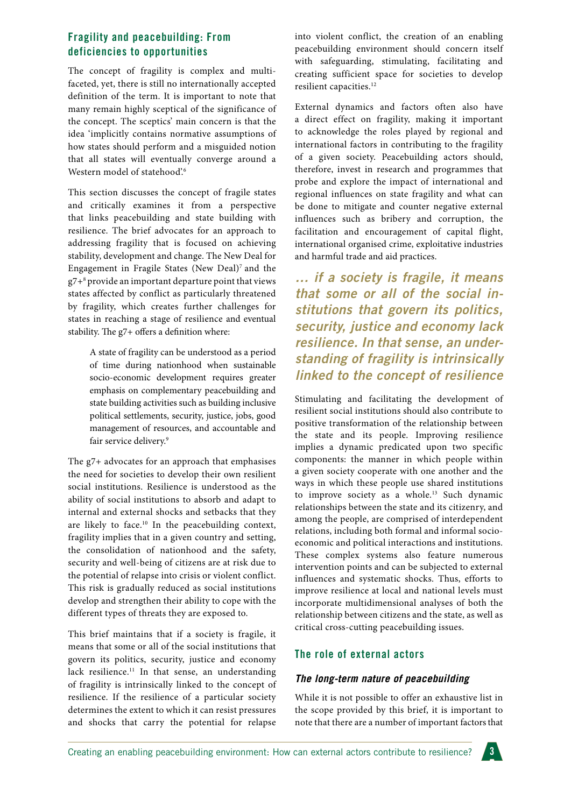# **Fragility and peacebuilding: From deficiencies to opportunities**

The concept of fragility is complex and multifaceted, yet, there is still no internationally accepted definition of the term. It is important to note that many remain highly sceptical of the significance of the concept. The sceptics' main concern is that the idea 'implicitly contains normative assumptions of how states should perform and a misguided notion that all states will eventually converge around a Western model of statehood'.<sup>6</sup>

This section discusses the concept of fragile states and critically examines it from a perspective that links peacebuilding and state building with resilience. The brief advocates for an approach to addressing fragility that is focused on achieving stability, development and change. The New Deal for Engagement in Fragile States (New Deal)7 and the g7+8 provide an important departure point that views states affected by conflict as particularly threatened by fragility, which creates further challenges for states in reaching a stage of resilience and eventual stability. The g7+ offers a definition where:

> A state of fragility can be understood as a period of time during nationhood when sustainable socio-economic development requires greater emphasis on complementary peacebuilding and state building activities such as building inclusive political settlements, security, justice, jobs, good management of resources, and accountable and fair service delivery.<sup>9</sup>

The g7+ advocates for an approach that emphasises the need for societies to develop their own resilient social institutions. Resilience is understood as the ability of social institutions to absorb and adapt to internal and external shocks and setbacks that they are likely to face.<sup>10</sup> In the peacebuilding context, fragility implies that in a given country and setting, the consolidation of nationhood and the safety, security and well-being of citizens are at risk due to the potential of relapse into crisis or violent conflict. This risk is gradually reduced as social institutions develop and strengthen their ability to cope with the different types of threats they are exposed to.

This brief maintains that if a society is fragile, it means that some or all of the social institutions that govern its politics, security, justice and economy lack resilience.<sup>11</sup> In that sense, an understanding of fragility is intrinsically linked to the concept of resilience. If the resilience of a particular society determines the extent to which it can resist pressures and shocks that carry the potential for relapse into violent conflict, the creation of an enabling peacebuilding environment should concern itself with safeguarding, stimulating, facilitating and creating sufficient space for societies to develop resilient capacities.<sup>12</sup>

External dynamics and factors often also have a direct effect on fragility, making it important to acknowledge the roles played by regional and international factors in contributing to the fragility of a given society. Peacebuilding actors should, therefore, invest in research and programmes that probe and explore the impact of international and regional influences on state fragility and what can be done to mitigate and counter negative external influences such as bribery and corruption, the facilitation and encouragement of capital flight, international organised crime, exploitative industries and harmful trade and aid practices.

*… if a society is fragile, it means that some or all of the social institutions that govern its politics, security, justice and economy lack resilience. In that sense, an understanding of fragility is intrinsically linked to the concept of resilience* 

Stimulating and facilitating the development of resilient social institutions should also contribute to positive transformation of the relationship between the state and its people. Improving resilience implies a dynamic predicated upon two specific components: the manner in which people within a given society cooperate with one another and the ways in which these people use shared institutions to improve society as a whole.<sup>13</sup> Such dynamic relationships between the state and its citizenry, and among the people, are comprised of interdependent relations, including both formal and informal socioeconomic and political interactions and institutions. These complex systems also feature numerous intervention points and can be subjected to external influences and systematic shocks. Thus, efforts to improve resilience at local and national levels must incorporate multidimensional analyses of both the relationship between citizens and the state, as well as critical cross-cutting peacebuilding issues.

# **The role of external actors**

# *The long-term nature of peacebuilding*

While it is not possible to offer an exhaustive list in the scope provided by this brief, it is important to note that there are a number of important factors that

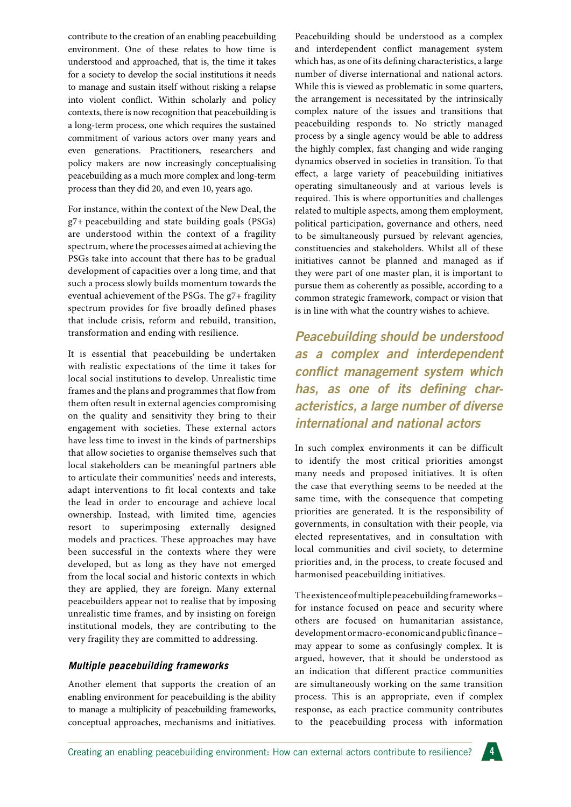contribute to the creation of an enabling peacebuilding environment. One of these relates to how time is understood and approached, that is, the time it takes for a society to develop the social institutions it needs to manage and sustain itself without risking a relapse into violent conflict. Within scholarly and policy contexts, there is now recognition that peacebuilding is a long-term process, one which requires the sustained commitment of various actors over many years and even generations. Practitioners, researchers and policy makers are now increasingly conceptualising peacebuilding as a much more complex and long-term process than they did 20, and even 10, years ago.

For instance, within the context of the New Deal, the g7+ peacebuilding and state building goals (PSGs) are understood within the context of a fragility spectrum, where the processes aimed at achieving the PSGs take into account that there has to be gradual development of capacities over a long time, and that such a process slowly builds momentum towards the eventual achievement of the PSGs. The g7+ fragility spectrum provides for five broadly defined phases that include crisis, reform and rebuild, transition, transformation and ending with resilience.

It is essential that peacebuilding be undertaken with realistic expectations of the time it takes for local social institutions to develop. Unrealistic time frames and the plans and programmes that flow from them often result in external agencies compromising on the quality and sensitivity they bring to their engagement with societies. These external actors have less time to invest in the kinds of partnerships that allow societies to organise themselves such that local stakeholders can be meaningful partners able to articulate their communities' needs and interests, adapt interventions to fit local contexts and take the lead in order to encourage and achieve local ownership. Instead, with limited time, agencies resort to superimposing externally designed models and practices. These approaches may have been successful in the contexts where they were developed, but as long as they have not emerged from the local social and historic contexts in which they are applied, they are foreign. Many external peacebuilders appear not to realise that by imposing unrealistic time frames, and by insisting on foreign institutional models, they are contributing to the very fragility they are committed to addressing.

#### *Multiple peacebuilding frameworks*

Another element that supports the creation of an enabling environment for peacebuilding is the ability to manage a multiplicity of peacebuilding frameworks, conceptual approaches, mechanisms and initiatives. Peacebuilding should be understood as a complex and interdependent conflict management system which has, as one of its defining characteristics, a large number of diverse international and national actors. While this is viewed as problematic in some quarters, the arrangement is necessitated by the intrinsically complex nature of the issues and transitions that peacebuilding responds to. No strictly managed process by a single agency would be able to address the highly complex, fast changing and wide ranging dynamics observed in societies in transition. To that effect, a large variety of peacebuilding initiatives operating simultaneously and at various levels is required. This is where opportunities and challenges related to multiple aspects, among them employment, political participation, governance and others, need to be simultaneously pursued by relevant agencies, constituencies and stakeholders. Whilst all of these initiatives cannot be planned and managed as if they were part of one master plan, it is important to pursue them as coherently as possible, according to a common strategic framework, compact or vision that is in line with what the country wishes to achieve.

*Peacebuilding should be understood as a complex and interdependent conflict management system which has, as one of its defining characteristics, a large number of diverse international and national actors*

In such complex environments it can be difficult to identify the most critical priorities amongst many needs and proposed initiatives. It is often the case that everything seems to be needed at the same time, with the consequence that competing priorities are generated. It is the responsibility of governments, in consultation with their people, via elected representatives, and in consultation with local communities and civil society, to determine priorities and, in the process, to create focused and harmonised peacebuilding initiatives.

The existence of multiple peacebuilding frameworks – for instance focused on peace and security where others are focused on humanitarian assistance, development or macro-economic and public finance – may appear to some as confusingly complex. It is argued, however, that it should be understood as an indication that different practice communities are simultaneously working on the same transition process. This is an appropriate, even if complex response, as each practice community contributes to the peacebuilding process with information

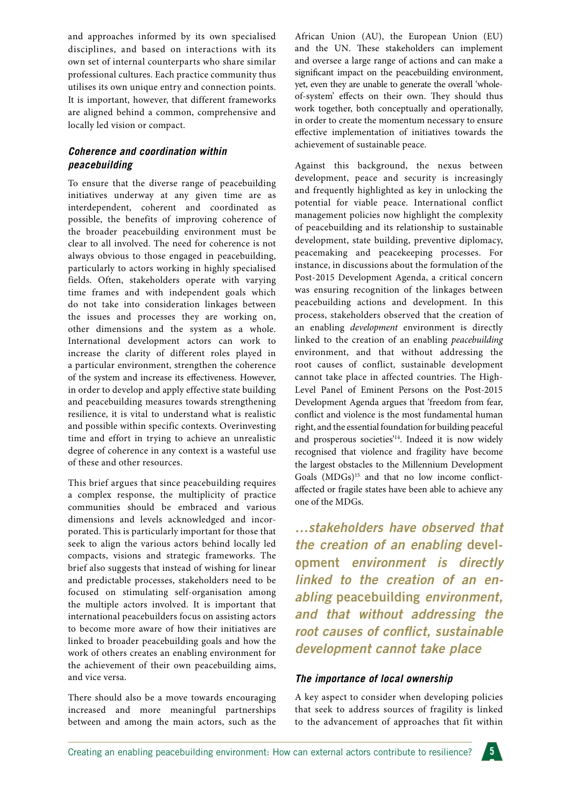and approaches informed by its own specialised disciplines, and based on interactions with its own set of internal counterparts who share similar professional cultures. Each practice community thus utilises its own unique entry and connection points. It is important, however, that different frameworks are aligned behind a common, comprehensive and locally led vision or compact.

#### *Coherence and coordination within peacebuilding*

To ensure that the diverse range of peacebuilding initiatives underway at any given time are as interdependent, coherent and coordinated as possible, the benefits of improving coherence of the broader peacebuilding environment must be clear to all involved. The need for coherence is not always obvious to those engaged in peacebuilding, particularly to actors working in highly specialised fields. Often, stakeholders operate with varying time frames and with independent goals which do not take into consideration linkages between the issues and processes they are working on, other dimensions and the system as a whole. International development actors can work to increase the clarity of different roles played in a particular environment, strengthen the coherence of the system and increase its effectiveness. However, in order to develop and apply effective state building and peacebuilding measures towards strengthening resilience, it is vital to understand what is realistic and possible within specific contexts. Overinvesting time and effort in trying to achieve an unrealistic degree of coherence in any context is a wasteful use of these and other resources.

This brief argues that since peacebuilding requires a complex response, the multiplicity of practice communities should be embraced and various dimensions and levels acknowledged and incorporated. This is particularly important for those that seek to align the various actors behind locally led compacts, visions and strategic frameworks. The brief also suggests that instead of wishing for linear and predictable processes, stakeholders need to be focused on stimulating self-organisation among the multiple actors involved. It is important that international peacebuilders focus on assisting actors to become more aware of how their initiatives are linked to broader peacebuilding goals and how the work of others creates an enabling environment for the achievement of their own peacebuilding aims, and vice versa.

There should also be a move towards encouraging increased and more meaningful partnerships between and among the main actors, such as the

African Union (AU), the European Union (EU) and the UN. These stakeholders can implement and oversee a large range of actions and can make a significant impact on the peacebuilding environment, yet, even they are unable to generate the overall 'wholeof-system' effects on their own. They should thus work together, both conceptually and operationally, in order to create the momentum necessary to ensure effective implementation of initiatives towards the achievement of sustainable peace.

Against this background, the nexus between development, peace and security is increasingly and frequently highlighted as key in unlocking the potential for viable peace. International conflict management policies now highlight the complexity of peacebuilding and its relationship to sustainable development, state building, preventive diplomacy, peacemaking and peacekeeping processes. For instance, in discussions about the formulation of the Post-2015 Development Agenda, a critical concern was ensuring recognition of the linkages between peacebuilding actions and development. In this process, stakeholders observed that the creation of an enabling *development* environment is directly linked to the creation of an enabling *peacebuilding* environment, and that without addressing the root causes of conflict, sustainable development cannot take place in affected countries. The High-Level Panel of Eminent Persons on the Post-2015 Development Agenda argues that 'freedom from fear, conflict and violence is the most fundamental human right, and the essential foundation for building peaceful and prosperous societies'<sup>14</sup>. Indeed it is now widely recognised that violence and fragility have become the largest obstacles to the Millennium Development Goals (MDGs)<sup>15</sup> and that no low income conflictaffected or fragile states have been able to achieve any one of the MDGs.

*…stakeholders have observed that the creation of an enabling* **development** *environment is directly linked to the creation of an enabling* **peacebuilding** *environment, and that without addressing the root causes of conflict, sustainable development cannot take place*

#### *The importance of local ownership*

A key aspect to consider when developing policies that seek to address sources of fragility is linked to the advancement of approaches that fit within

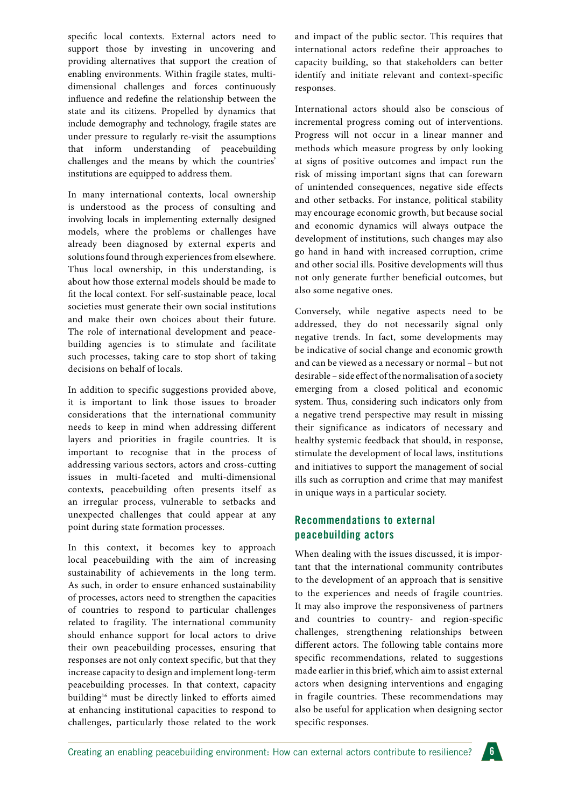specific local contexts. External actors need to support those by investing in uncovering and providing alternatives that support the creation of enabling environments. Within fragile states, multidimensional challenges and forces continuously influence and redefine the relationship between the state and its citizens. Propelled by dynamics that include demography and technology, fragile states are under pressure to regularly re-visit the assumptions that inform understanding of peacebuilding challenges and the means by which the countries' institutions are equipped to address them.

In many international contexts, local ownership is understood as the process of consulting and involving locals in implementing externally designed models, where the problems or challenges have already been diagnosed by external experts and solutions found through experiences from elsewhere. Thus local ownership, in this understanding, is about how those external models should be made to fit the local context. For self-sustainable peace, local societies must generate their own social institutions and make their own choices about their future. The role of international development and peacebuilding agencies is to stimulate and facilitate such processes, taking care to stop short of taking decisions on behalf of locals.

In addition to specific suggestions provided above, it is important to link those issues to broader considerations that the international community needs to keep in mind when addressing different layers and priorities in fragile countries. It is important to recognise that in the process of addressing various sectors, actors and cross-cutting issues in multi-faceted and multi-dimensional contexts, peacebuilding often presents itself as an irregular process, vulnerable to setbacks and unexpected challenges that could appear at any point during state formation processes.

In this context, it becomes key to approach local peacebuilding with the aim of increasing sustainability of achievements in the long term. As such, in order to ensure enhanced sustainability of processes, actors need to strengthen the capacities of countries to respond to particular challenges related to fragility. The international community should enhance support for local actors to drive their own peacebuilding processes, ensuring that responses are not only context specific, but that they increase capacity to design and implement long-term peacebuilding processes. In that context, capacity building16 must be directly linked to efforts aimed at enhancing institutional capacities to respond to challenges, particularly those related to the work and impact of the public sector. This requires that international actors redefine their approaches to capacity building, so that stakeholders can better identify and initiate relevant and context-specific responses.

International actors should also be conscious of incremental progress coming out of interventions. Progress will not occur in a linear manner and methods which measure progress by only looking at signs of positive outcomes and impact run the risk of missing important signs that can forewarn of unintended consequences, negative side effects and other setbacks. For instance, political stability may encourage economic growth, but because social and economic dynamics will always outpace the development of institutions, such changes may also go hand in hand with increased corruption, crime and other social ills. Positive developments will thus not only generate further beneficial outcomes, but also some negative ones.

Conversely, while negative aspects need to be addressed, they do not necessarily signal only negative trends. In fact, some developments may be indicative of social change and economic growth and can be viewed as a necessary or normal – but not desirable – side effect of the normalisation of a society emerging from a closed political and economic system. Thus, considering such indicators only from a negative trend perspective may result in missing their significance as indicators of necessary and healthy systemic feedback that should, in response, stimulate the development of local laws, institutions and initiatives to support the management of social ills such as corruption and crime that may manifest in unique ways in a particular society.

# **Recommendations to external peacebuilding actors**

When dealing with the issues discussed, it is important that the international community contributes to the development of an approach that is sensitive to the experiences and needs of fragile countries. It may also improve the responsiveness of partners and countries to country- and region-specific challenges, strengthening relationships between different actors. The following table contains more specific recommendations, related to suggestions made earlier in this brief, which aim to assist external actors when designing interventions and engaging in fragile countries. These recommendations may also be useful for application when designing sector specific responses.

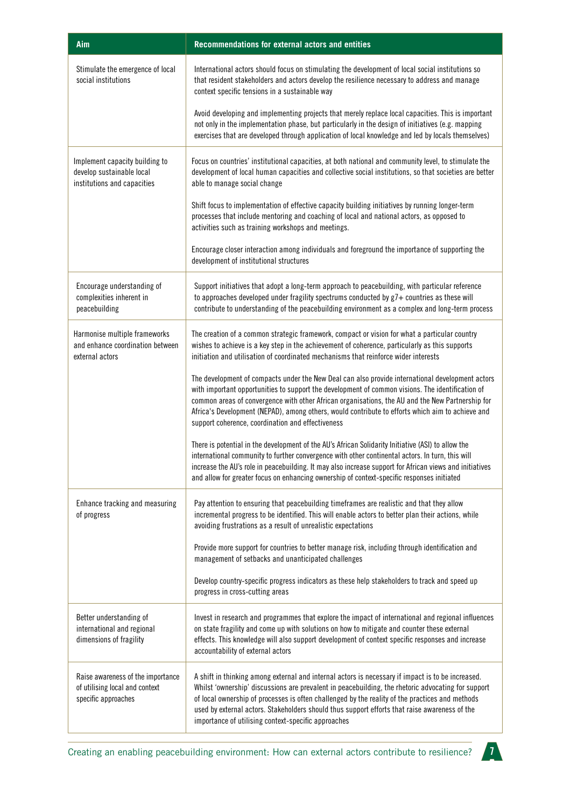| Aim                                                                                        | Recommendations for external actors and entities                                                                                                                                                                                                                                                                                                                                                                                                                   |
|--------------------------------------------------------------------------------------------|--------------------------------------------------------------------------------------------------------------------------------------------------------------------------------------------------------------------------------------------------------------------------------------------------------------------------------------------------------------------------------------------------------------------------------------------------------------------|
| Stimulate the emergence of local<br>social institutions                                    | International actors should focus on stimulating the development of local social institutions so<br>that resident stakeholders and actors develop the resilience necessary to address and manage<br>context specific tensions in a sustainable way                                                                                                                                                                                                                 |
|                                                                                            | Avoid developing and implementing projects that merely replace local capacities. This is important<br>not only in the implementation phase, but particularly in the design of initiatives (e.g. mapping<br>exercises that are developed through application of local knowledge and led by locals themselves)                                                                                                                                                       |
| Implement capacity building to<br>develop sustainable local<br>institutions and capacities | Focus on countries' institutional capacities, at both national and community level, to stimulate the<br>development of local human capacities and collective social institutions, so that societies are better<br>able to manage social change                                                                                                                                                                                                                     |
|                                                                                            | Shift focus to implementation of effective capacity building initiatives by running longer-term<br>processes that include mentoring and coaching of local and national actors, as opposed to<br>activities such as training workshops and meetings.                                                                                                                                                                                                                |
|                                                                                            | Encourage closer interaction among individuals and foreground the importance of supporting the<br>development of institutional structures                                                                                                                                                                                                                                                                                                                          |
| Encourage understanding of<br>complexities inherent in<br>peacebuilding                    | Support initiatives that adopt a long-term approach to peacebuilding, with particular reference<br>to approaches developed under fragility spectrums conducted by g7+ countries as these will<br>contribute to understanding of the peacebuilding environment as a complex and long-term process                                                                                                                                                                   |
| Harmonise multiple frameworks<br>and enhance coordination between<br>external actors       | The creation of a common strategic framework, compact or vision for what a particular country<br>wishes to achieve is a key step in the achievement of coherence, particularly as this supports<br>initiation and utilisation of coordinated mechanisms that reinforce wider interests                                                                                                                                                                             |
|                                                                                            | The development of compacts under the New Deal can also provide international development actors<br>with important opportunities to support the development of common visions. The identification of<br>common areas of convergence with other African organisations, the AU and the New Partnership for<br>Africa's Development (NEPAD), among others, would contribute to efforts which aim to achieve and<br>support coherence, coordination and effectiveness  |
|                                                                                            | There is potential in the development of the AU's African Solidarity Initiative (ASI) to allow the<br>international community to further convergence with other continental actors. In turn, this will<br>increase the AU's role in peacebuilding. It may also increase support for African views and initiatives<br>and allow for greater focus on enhancing ownership of context-specific responses initiated                                                    |
| Enhance tracking and measuring<br>of progress                                              | Pay attention to ensuring that peacebuilding timeframes are realistic and that they allow<br>incremental progress to be identified. This will enable actors to better plan their actions, while<br>avoiding frustrations as a result of unrealistic expectations                                                                                                                                                                                                   |
|                                                                                            | Provide more support for countries to better manage risk, including through identification and<br>management of setbacks and unanticipated challenges                                                                                                                                                                                                                                                                                                              |
|                                                                                            | Develop country-specific progress indicators as these help stakeholders to track and speed up<br>progress in cross-cutting areas                                                                                                                                                                                                                                                                                                                                   |
| Better understanding of<br>international and regional<br>dimensions of fragility           | Invest in research and programmes that explore the impact of international and regional influences<br>on state fragility and come up with solutions on how to mitigate and counter these external<br>effects. This knowledge will also support development of context specific responses and increase<br>accountability of external actors                                                                                                                         |
| Raise awareness of the importance<br>of utilising local and context<br>specific approaches | A shift in thinking among external and internal actors is necessary if impact is to be increased.<br>Whilst 'ownership' discussions are prevalent in peacebuilding, the rhetoric advocating for support<br>of local ownership of processes is often challenged by the reality of the practices and methods<br>used by external actors. Stakeholders should thus support efforts that raise awareness of the<br>importance of utilising context-specific approaches |

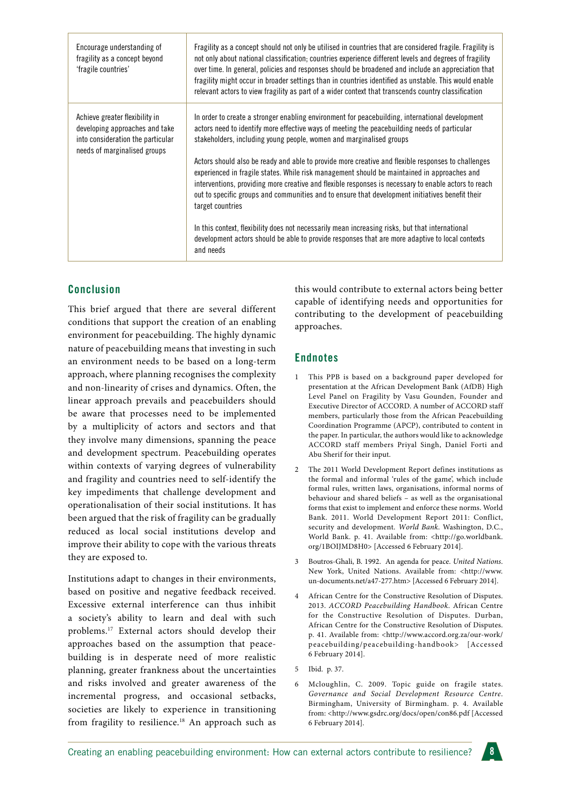| Encourage understanding of<br>fragility as a concept beyond<br>'fragile countries'                                                    | Fragility as a concept should not only be utilised in countries that are considered fragile. Fragility is<br>not only about national classification; countries experience different levels and degrees of fragility<br>over time. In general, policies and responses should be broadened and include an appreciation that<br>fragility might occur in broader settings than in countries identified as unstable. This would enable<br>relevant actors to view fragility as part of a wider context that transcends country classification |
|---------------------------------------------------------------------------------------------------------------------------------------|-------------------------------------------------------------------------------------------------------------------------------------------------------------------------------------------------------------------------------------------------------------------------------------------------------------------------------------------------------------------------------------------------------------------------------------------------------------------------------------------------------------------------------------------|
| Achieve greater flexibility in<br>developing approaches and take<br>into consideration the particular<br>needs of marginalised groups | In order to create a stronger enabling environment for peacebuilding, international development<br>actors need to identify more effective ways of meeting the peacebuilding needs of particular<br>stakeholders, including young people, women and marginalised groups                                                                                                                                                                                                                                                                    |
|                                                                                                                                       | Actors should also be ready and able to provide more creative and flexible responses to challenges<br>experienced in fragile states. While risk management should be maintained in approaches and<br>interventions, providing more creative and flexible responses is necessary to enable actors to reach<br>out to specific groups and communities and to ensure that development initiatives benefit their<br>target countries                                                                                                          |
|                                                                                                                                       | In this context, flexibility does not necessarily mean increasing risks, but that international<br>development actors should be able to provide responses that are more adaptive to local contexts<br>and needs                                                                                                                                                                                                                                                                                                                           |

# **Conclusion**

This brief argued that there are several different conditions that support the creation of an enabling environment for peacebuilding. The highly dynamic nature of peacebuilding means that investing in such an environment needs to be based on a long-term approach, where planning recognises the complexity and non-linearity of crises and dynamics. Often, the linear approach prevails and peacebuilders should be aware that processes need to be implemented by a multiplicity of actors and sectors and that they involve many dimensions, spanning the peace and development spectrum. Peacebuilding operates within contexts of varying degrees of vulnerability and fragility and countries need to self-identify the key impediments that challenge development and operationalisation of their social institutions. It has been argued that the risk of fragility can be gradually reduced as local social institutions develop and improve their ability to cope with the various threats they are exposed to.

Institutions adapt to changes in their environments, based on positive and negative feedback received. Excessive external interference can thus inhibit a society's ability to learn and deal with such problems.17 External actors should develop their approaches based on the assumption that peacebuilding is in desperate need of more realistic planning, greater frankness about the uncertainties and risks involved and greater awareness of the incremental progress, and occasional setbacks, societies are likely to experience in transitioning from fragility to resilience.<sup>18</sup> An approach such as this would contribute to external actors being better capable of identifying needs and opportunities for contributing to the development of peacebuilding approaches.

# **Endnotes**

- 1 This PPB is based on a background paper developed for presentation at the African Development Bank (AfDB) High Level Panel on Fragility by Vasu Gounden, Founder and Executive Director of ACCORD. A number of ACCORD staff members, particularly those from the African Peacebuilding Coordination Programme (APCP), contributed to content in the paper. In particular, the authors would like to acknowledge ACCORD staff members Priyal Singh, Daniel Forti and Abu Sherif for their input.
- 2 The 2011 World Development Report defines institutions as the formal and informal 'rules of the game', which include formal rules, written laws, organisations, informal norms of behaviour and shared beliefs – as well as the organisational forms that exist to implement and enforce these norms. World Bank. 2011. World Development Report 2011: Conflict, security and development. *World Bank*. Washington, D.C., World Bank. p. 41. Available from: <http://go.worldbank. org/1BOIJMD8H0> [Accessed 6 February 2014].
- 3 Boutros-Ghali, B. 1992. An agenda for peace. *United Nations*. New York, United Nations. Available from: <http://www. un-documents.net/a47-277.htm> [Accessed 6 February 2014].
- 4 African Centre for the Constructive Resolution of Disputes. 2013. *ACCORD Peacebuilding Handbook*. African Centre for the Constructive Resolution of Disputes. Durban, African Centre for the Constructive Resolution of Disputes. p. 41. Available from: <http://www.accord.org.za/our-work/ peacebuilding/peacebuilding-handbook> [Accessed 6 February 2014].
- 5 Ibid. p. 37.
- Mcloughlin, C. 2009. Topic guide on fragile states. *Governance and Social Development Resource Centre*. Birmingham, University of Birmingham. p. 4. Available from: <http://www.gsdrc.org/docs/open/con86.pdf [Accessed 6 February 2014].